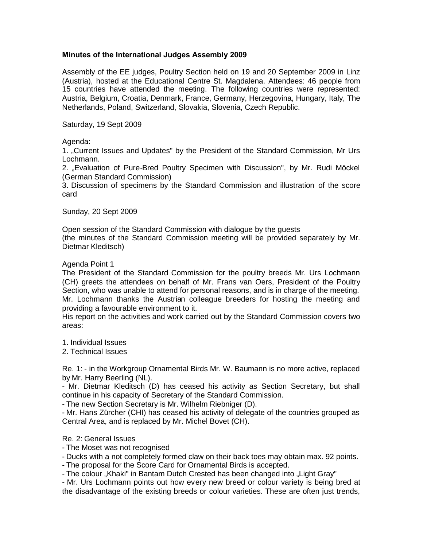# **Minutes of the International Judges Assembly 2009**

Assembly of the EE judges, Poultry Section held on 19 and 20 September 2009 in Linz (Austria), hosted at the Educational Centre St. Magdalena. Attendees: 46 people from 15 countries have attended the meeting. The following countries were represented: Austria, Belgium, Croatia, Denmark, France, Germany, Herzegovina, Hungary, Italy, The Netherlands, Poland, Switzerland, Slovakia, Slovenia, Czech Republic.

Saturday, 19 Sept 2009

# Agenda:

1. "Current Issues and Updates" by the President of the Standard Commission, Mr Urs Lochmann.

2. "Evaluation of Pure-Bred Poultry Specimen with Discussion", by Mr. Rudi Möckel (German Standard Commission)

3. Discussion of specimens by the Standard Commission and illustration of the score card

Sunday, 20 Sept 2009

Open session of the Standard Commission with dialogue by the guests

(the minutes of the Standard Commission meeting will be provided separately by Mr. Dietmar Kleditsch)

# Agenda Point 1

The President of the Standard Commission for the poultry breeds Mr. Urs Lochmann (CH) greets the attendees on behalf of Mr. Frans van Oers, President of the Poultry Section, who was unable to attend for personal reasons, and is in charge of the meeting. Mr. Lochmann thanks the Austrian colleague breeders for hosting the meeting and providing a favourable environment to it.

His report on the activities and work carried out by the Standard Commission covers two areas:

1. Individual Issues

2. Technical Issues

Re. 1: - in the Workgroup Ornamental Birds Mr. W. Baumann is no more active, replaced by Mr. Harry Beerling (NL).

- Mr. Dietmar Kleditsch (D) has ceased his activity as Section Secretary, but shall continue in his capacity of Secretary of the Standard Commission.

- The new Section Secretary is Mr. Wilhelm Riebniger (D).

- Mr. Hans Zürcher (CHI) has ceased his activity of delegate of the countries grouped as Central Area, and is replaced by Mr. Michel Bovet (CH).

### Re. 2: General Issues

- The Moset was not recognised

- Ducks with a not completely formed claw on their back toes may obtain max. 92 points.

- The proposal for the Score Card for Ornamental Birds is accepted.

- The colour "Khaki" in Bantam Dutch Crested has been changed into "Light Gray"

- Mr. Urs Lochmann points out how every new breed or colour variety is being bred at the disadvantage of the existing breeds or colour varieties. These are often just trends,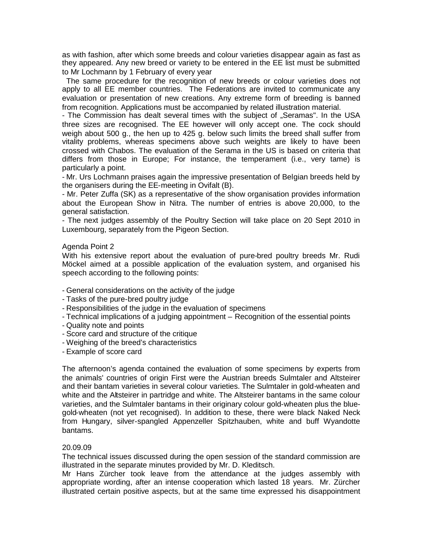as with fashion, after which some breeds and colour varieties disappear again as fast as they appeared. Any new breed or variety to be entered in the EE list must be submitted to Mr Lochmann by 1 February of every year

The same procedure for the recognition of new breeds or colour varieties does not apply to all EE member countries. The Federations are invited to communicate any evaluation or presentation of new creations. Any extreme form of breeding is banned from recognition. Applications must be accompanied by related illustration material.

- The Commission has dealt several times with the subject of "Seramas". In the USA three sizes are recognised. The EE however will only accept one. The cock should weigh about 500 g., the hen up to 425 g. below such limits the breed shall suffer from vitality problems, whereas specimens above such weights are likely to have been crossed with Chabos. The evaluation of the Serama in the US is based on criteria that differs from those in Europe; For instance, the temperament (i.e., very tame) is particularly a point.

- Mr. Urs Lochmann praises again the impressive presentation of Belgian breeds held by the organisers during the EE-meeting in Ovifalt (B).

- Mr. Peter Zuffa (SK) as a representative of the show organisation provides information about the European Show in Nitra. The number of entries is above 20,000, to the general satisfaction.

- The next judges assembly of the Poultry Section will take place on 20 Sept 2010 in Luxembourg, separately from the Pigeon Section.

### Agenda Point 2

With his extensive report about the evaluation of pure-bred poultry breeds Mr. Rudi Möckel aimed at a possible application of the evaluation system, and organised his speech according to the following points:

- General considerations on the activity of the judge
- Tasks of the pure-bred poultry judge
- Responsibilities of the judge in the evaluation of specimens
- Technical implications of a judging appointment Recognition of the essential points
- Quality note and points
- Score card and structure of the critique
- Weighing of the breed's characteristics

- Example of score card

The afternoon's agenda contained the evaluation of some specimens by experts from the animals' countries of origin First were the Austrian breeds Sulmtaler and Altsteirer and their bantam varieties in several colour varieties. The Sulmtaler in gold-wheaten and white and the Altsteirer in partridge and white. The Altsteirer bantams in the same colour varieties, and the Sulmtaler bantams in their originary colour gold-wheaten plus the bluegold-wheaten (not yet recognised). In addition to these, there were black Naked Neck from Hungary, silver-spangled Appenzeller Spitzhauben, white and buff Wyandotte bantams.

### 20.09.09

The technical issues discussed during the open session of the standard commission are illustrated in the separate minutes provided by Mr. D. Kleditsch.

Mr Hans Zürcher took leave from the attendance at the judges assembly with appropriate wording, after an intense cooperation which lasted 18 years. Mr. Zürcher illustrated certain positive aspects, but at the same time expressed his disappointment